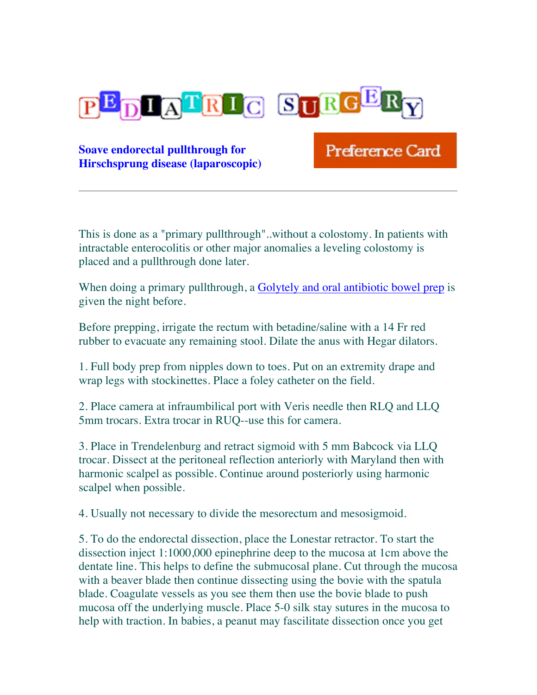

**Soave endorectal pullthrough for Hirschsprung disease (laparoscopic)** Preference Card

This is done as a "primary pullthrough"..without a colostomy. In patients with intractable enterocolitis or other major anomalies a leveling colostomy is placed and a pullthrough done later.

When doing a primary pullthrough, a Golytely and oral antibiotic bowel prep is given the night before.

Before prepping, irrigate the rectum with betadine/saline with a 14 Fr red rubber to evacuate any remaining stool. Dilate the anus with Hegar dilators.

1. Full body prep from nipples down to toes. Put on an extremity drape and wrap legs with stockinettes. Place a foley catheter on the field.

2. Place camera at infraumbilical port with Veris needle then RLQ and LLQ 5mm trocars. Extra trocar in RUQ--use this for camera.

3. Place in Trendelenburg and retract sigmoid with 5 mm Babcock via LLQ trocar. Dissect at the peritoneal reflection anteriorly with Maryland then with harmonic scalpel as possible. Continue around posteriorly using harmonic scalpel when possible.

4. Usually not necessary to divide the mesorectum and mesosigmoid.

5. To do the endorectal dissection, place the Lonestar retractor. To start the dissection inject 1:1000,000 epinephrine deep to the mucosa at 1cm above the dentate line. This helps to define the submucosal plane. Cut through the mucosa with a beaver blade then continue dissecting using the bovie with the spatula blade. Coagulate vessels as you see them then use the bovie blade to push mucosa off the underlying muscle. Place 5-0 silk stay sutures in the mucosa to help with traction. In babies, a peanut may fascilitate dissection once you get